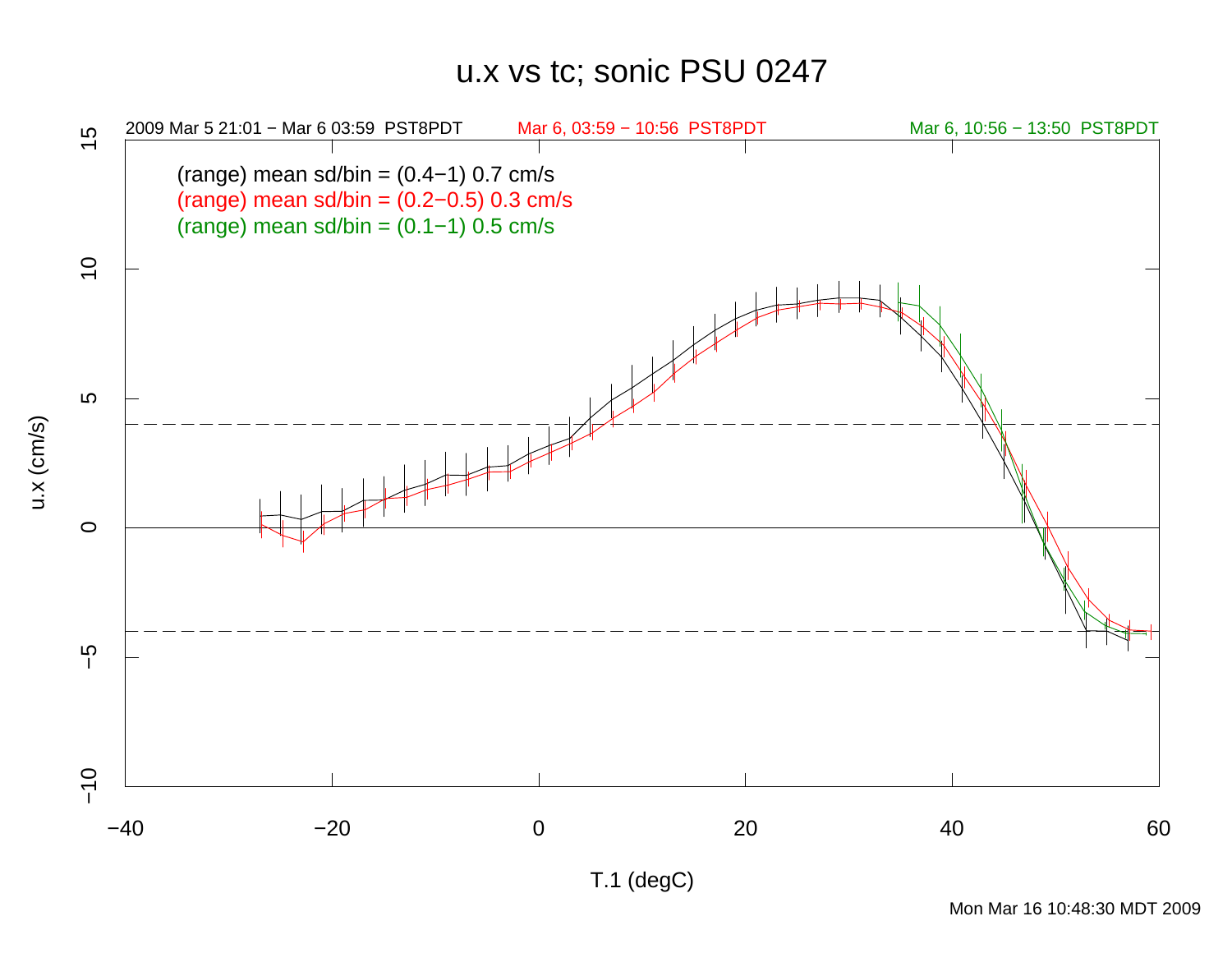## u.x vs tc; sonic PSU 0247



u.x (cm/s)

T.1 (degC)

Mon Mar 16 10:48:30 MDT 2009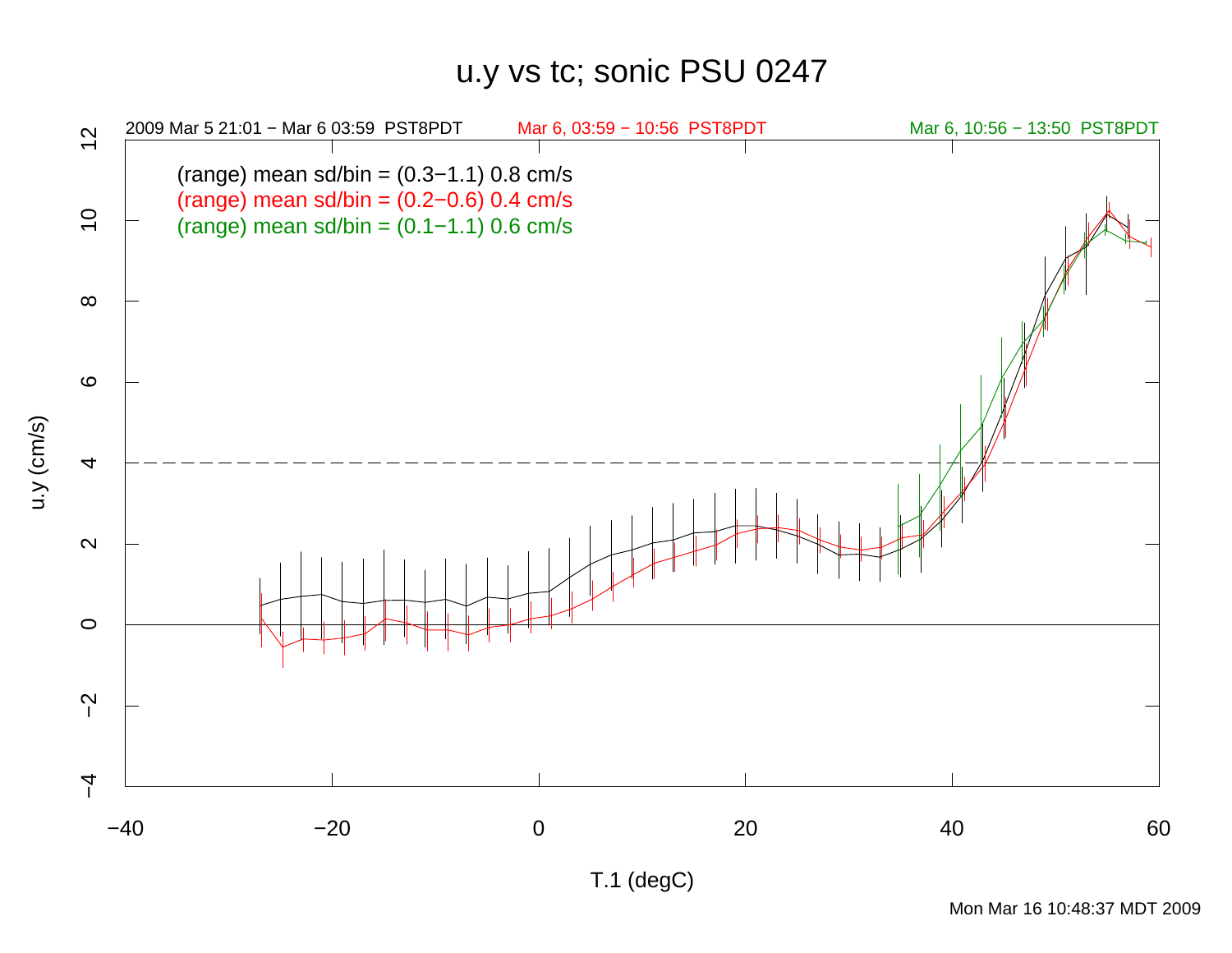## u.y vs tc; sonic PSU 0247



Mon Mar 16 10:48:37 MDT 2009